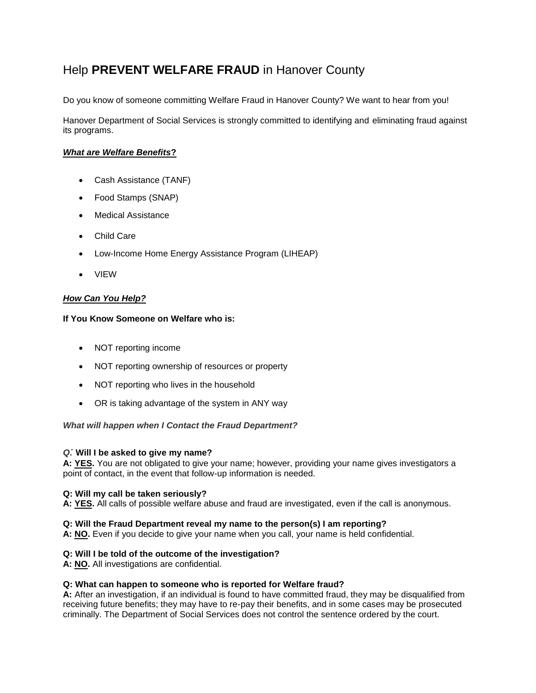# Help **PREVENT WELFARE FRAUD** in Hanover County

Do you know of someone committing Welfare Fraud in Hanover County? We want to hear from you!

Hanover Department of Social Services is strongly committed to identifying and eliminating fraud against its programs.

# *What are Welfare Benefits***?**

- Cash Assistance (TANF)
- Food Stamps (SNAP)
- Medical Assistance
- Child Care
- Low-Income Home Energy Assistance Program (LIHEAP)
- VIEW

# *How Can You Help?*

## **If You Know Someone on Welfare who is:**

- NOT reporting income
- NOT reporting ownership of resources or property
- NOT reporting who lives in the household
- OR is taking advantage of the system in ANY way

## *What will happen when I Contact the Fraud Department?*

## *Q:* **Will I be asked to give my name?**

**A: YES.** You are not obligated to give your name; however, providing your name gives investigators a point of contact, in the event that follow-up information is needed.

#### **Q: Will my call be taken seriously?**

**A: YES.** All calls of possible welfare abuse and fraud are investigated, even if the call is anonymous.

#### **Q: Will the Fraud Department reveal my name to the person(s) I am reporting?**

**A: NO.** Even if you decide to give your name when you call, your name is held confidential.

## **Q: Will I be told of the outcome of the investigation?**

**A: NO.** All investigations are confidential.

#### **Q: What can happen to someone who is reported for Welfare fraud?**

**A:** After an investigation, if an individual is found to have committed fraud, they may be disqualified from receiving future benefits; they may have to re-pay their benefits, and in some cases may be prosecuted criminally. The Department of Social Services does not control the sentence ordered by the court.